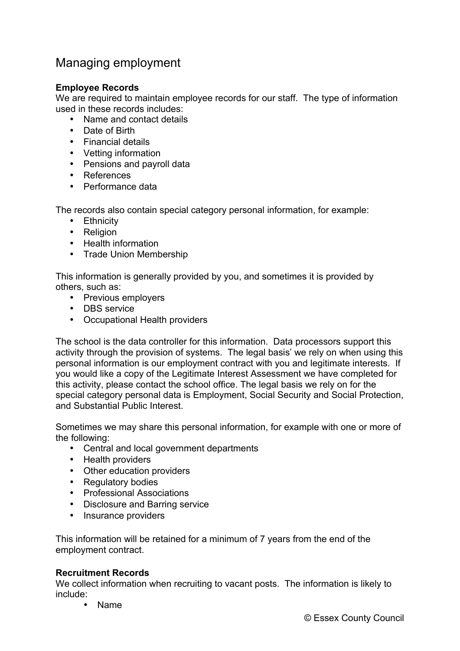## Managing employment

## **Employee Records**

We are required to maintain employee records for our staff. The type of information used in these records includes:

- Name and contact details
- Date of Birth
- Financial details
- Vetting information
- Pensions and payroll data
- References
- Performance data

The records also contain special category personal information, for example:

- Ethnicity
- Religion
- Health information
- Trade Union Membership

This information is generally provided by you, and sometimes it is provided by others, such as:

- Previous employers
- DBS service
- Occupational Health providers

The school is the data controller for this information. Data processors support this activity through the provision of systems. The legal basis' we rely on when using this personal information is our employment contract with you and legitimate interests. If you would like a copy of the Legitimate Interest Assessment we have completed for this activity, please contact the school office. The legal basis we rely on for the special category personal data is Employment, Social Security and Social Protection, and Substantial Public Interest.

Sometimes we may share this personal information, for example with one or more of the following:

- Central and local government departments
- Health providers
- Other education providers
- Regulatory bodies
- Professional Associations
- Disclosure and Barring service
- Insurance providers

This information will be retained for a minimum of 7 years from the end of the employment contract.

## **Recruitment Records**

We collect information when recruiting to vacant posts. The information is likely to include:

• Name